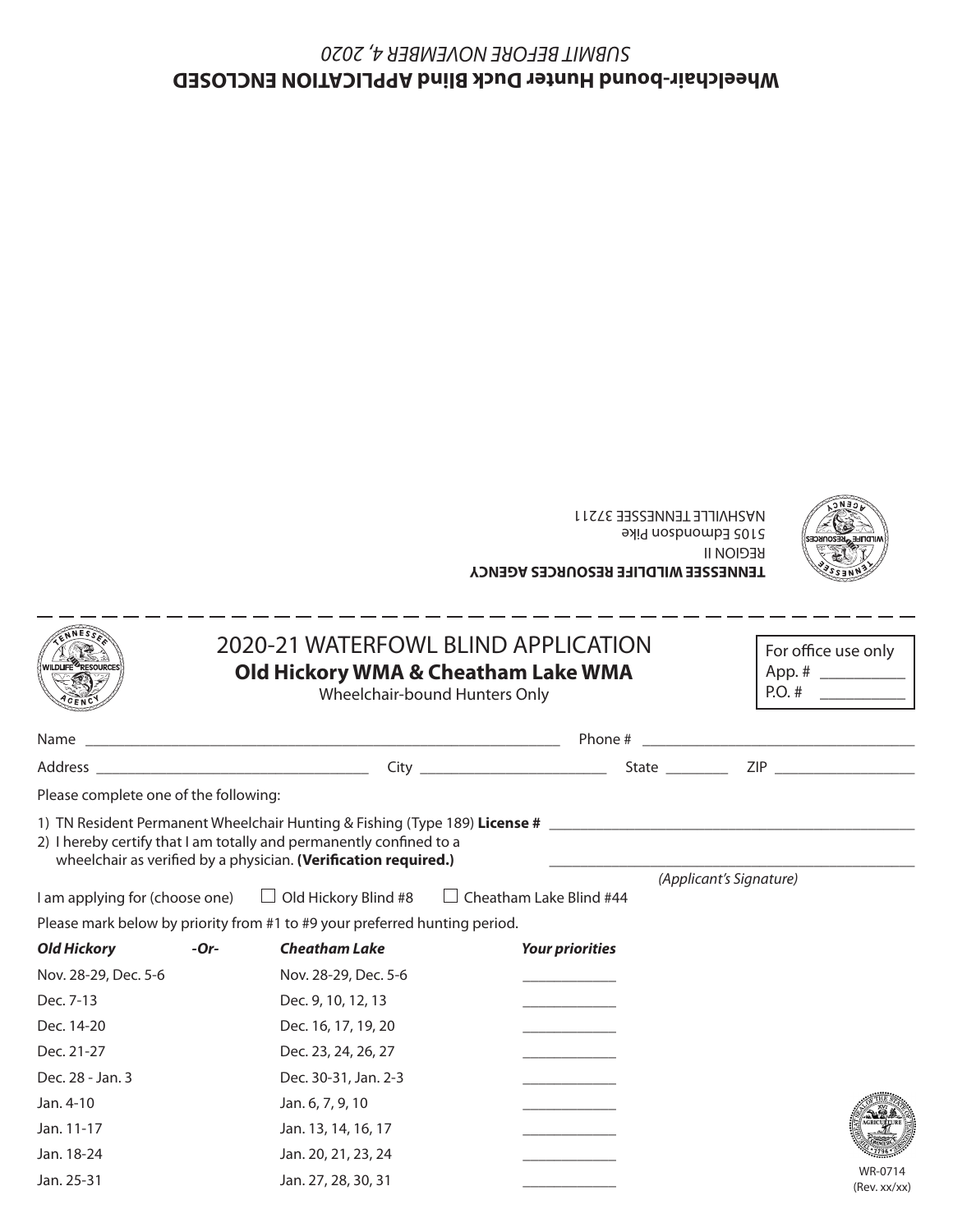## **Wheelchair-bound Hunter Duck Blind APPLICATION ENCLOSED** *SUBMIT BEFORE NOVEMBER 4, 2020*



**TENNESSEE WILDLIFE RESOURCES AGENCY** REGION II 5105 Edmondson Pike NASHVILLE TENNESSEE 37211

|                                       |        | 2020-21 WATERFOWL BLIND APPLICATION<br>Old Hickory WMA & Cheatham Lake WMA<br>Wheelchair-bound Hunters Only                            | For office use only<br>P. O. #                                             |                         |  |
|---------------------------------------|--------|----------------------------------------------------------------------------------------------------------------------------------------|----------------------------------------------------------------------------|-------------------------|--|
|                                       |        |                                                                                                                                        |                                                                            |                         |  |
|                                       |        |                                                                                                                                        |                                                                            |                         |  |
| Please complete one of the following: |        |                                                                                                                                        |                                                                            |                         |  |
|                                       |        | 2) I hereby certify that I am totally and permanently confined to a<br>wheelchair as verified by a physician. (Verification required.) | 1) TN Resident Permanent Wheelchair Hunting & Fishing (Type 189) License # |                         |  |
|                                       |        | I am applying for (choose one) □ Old Hickory Blind #8 □ Cheatham Lake Blind #44                                                        |                                                                            | (Applicant's Signature) |  |
|                                       |        | Please mark below by priority from #1 to #9 your preferred hunting period.                                                             |                                                                            |                         |  |
| <b>Old Hickory</b>                    | $-Or-$ | <b>Cheatham Lake</b>                                                                                                                   | <b>Your priorities</b>                                                     |                         |  |
| Nov. 28-29, Dec. 5-6                  |        | Nov. 28-29, Dec. 5-6                                                                                                                   |                                                                            |                         |  |
| Dec. 7-13                             |        | Dec. 9, 10, 12, 13                                                                                                                     |                                                                            |                         |  |
| Dec. 14-20                            |        | Dec. 16, 17, 19, 20                                                                                                                    |                                                                            |                         |  |
| Dec. 21-27                            |        | Dec. 23, 24, 26, 27                                                                                                                    |                                                                            |                         |  |
| Dec. 28 - Jan. 3                      |        | Dec. 30-31, Jan. 2-3                                                                                                                   |                                                                            |                         |  |
| Jan. 4-10                             |        | Jan. 6, 7, 9, 10                                                                                                                       |                                                                            |                         |  |
| Jan. 11-17                            |        | Jan. 13, 14, 16, 17                                                                                                                    |                                                                            |                         |  |
| Jan. 18-24                            |        | Jan. 20, 21, 23, 24                                                                                                                    |                                                                            |                         |  |
| Jan. 25-31                            |        | Jan. 27, 28, 30, 31                                                                                                                    |                                                                            | WR-0714<br>(Rav. vv/vv) |  |

WR-0714 (Rev. xx/xx)